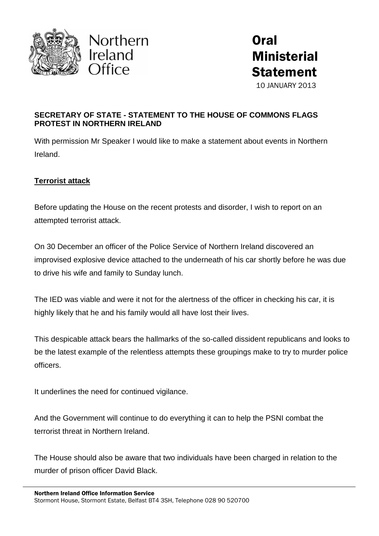





## **SECRETARY OF STATE - STATEMENT TO THE HOUSE OF COMMONS FLAGS PROTEST IN NORTHERN IRELAND**

With permission Mr Speaker I would like to make a statement about events in Northern Ireland.

## **Terrorist attack**

Before updating the House on the recent protests and disorder, I wish to report on an attempted terrorist attack.

On 30 December an officer of the Police Service of Northern Ireland discovered an improvised explosive device attached to the underneath of his car shortly before he was due to drive his wife and family to Sunday lunch.

The IED was viable and were it not for the alertness of the officer in checking his car, it is highly likely that he and his family would all have lost their lives.

This despicable attack bears the hallmarks of the so-called dissident republicans and looks to be the latest example of the relentless attempts these groupings make to try to murder police officers.

It underlines the need for continued vigilance.

And the Government will continue to do everything it can to help the PSNI combat the terrorist threat in Northern Ireland.

The House should also be aware that two individuals have been charged in relation to the murder of prison officer David Black.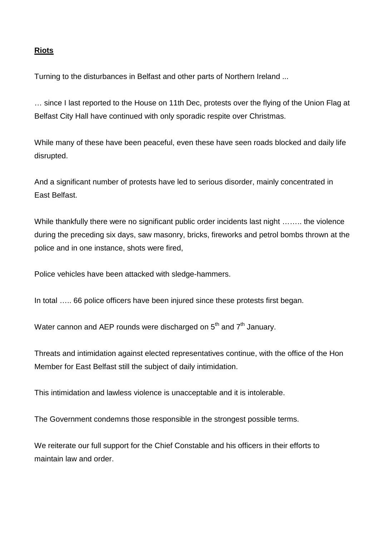## **Riots**

Turning to the disturbances in Belfast and other parts of Northern Ireland ...

… since I last reported to the House on 11th Dec, protests over the flying of the Union Flag at Belfast City Hall have continued with only sporadic respite over Christmas.

While many of these have been peaceful, even these have seen roads blocked and daily life disrupted.

And a significant number of protests have led to serious disorder, mainly concentrated in East Belfast.

While thankfully there were no significant public order incidents last night …….. the violence during the preceding six days, saw masonry, bricks, fireworks and petrol bombs thrown at the police and in one instance, shots were fired,

Police vehicles have been attacked with sledge-hammers.

In total ..... 66 police officers have been injured since these protests first began.

Water cannon and AEP rounds were discharged on  $5<sup>th</sup>$  and  $7<sup>th</sup>$  January.

Threats and intimidation against elected representatives continue, with the office of the Hon Member for East Belfast still the subject of daily intimidation.

This intimidation and lawless violence is unacceptable and it is intolerable.

The Government condemns those responsible in the strongest possible terms.

We reiterate our full support for the Chief Constable and his officers in their efforts to maintain law and order.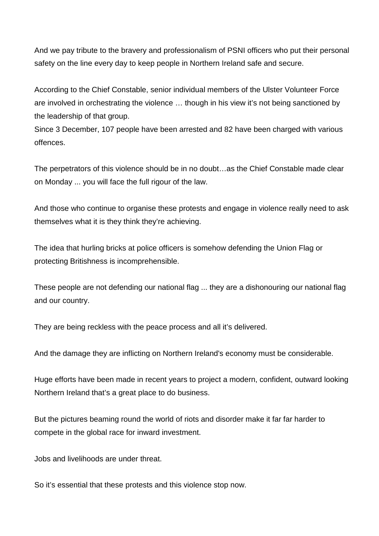And we pay tribute to the bravery and professionalism of PSNI officers who put their personal safety on the line every day to keep people in Northern Ireland safe and secure.

According to the Chief Constable, senior individual members of the Ulster Volunteer Force are involved in orchestrating the violence … though in his view it's not being sanctioned by the leadership of that group.

Since 3 December, 107 people have been arrested and 82 have been charged with various offences.

The perpetrators of this violence should be in no doubt…as the Chief Constable made clear on Monday ... you will face the full rigour of the law.

And those who continue to organise these protests and engage in violence really need to ask themselves what it is they think they're achieving.

The idea that hurling bricks at police officers is somehow defending the Union Flag or protecting Britishness is incomprehensible.

These people are not defending our national flag ... they are a dishonouring our national flag and our country.

They are being reckless with the peace process and all it's delivered.

And the damage they are inflicting on Northern Ireland's economy must be considerable.

Huge efforts have been made in recent years to project a modern, confident, outward looking Northern Ireland that's a great place to do business.

But the pictures beaming round the world of riots and disorder make it far far harder to compete in the global race for inward investment.

Jobs and livelihoods are under threat.

So it's essential that these protests and this violence stop now.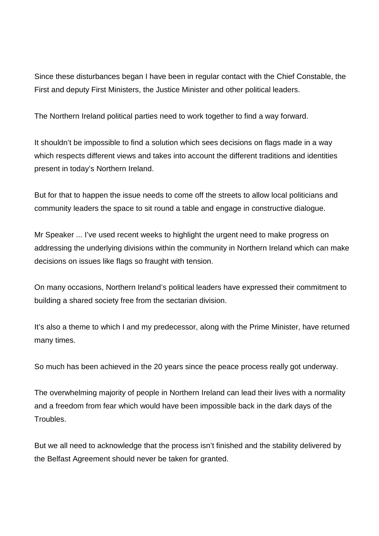Since these disturbances began I have been in regular contact with the Chief Constable, the First and deputy First Ministers, the Justice Minister and other political leaders.

The Northern Ireland political parties need to work together to find a way forward.

It shouldn't be impossible to find a solution which sees decisions on flags made in a way which respects different views and takes into account the different traditions and identities present in today's Northern Ireland.

But for that to happen the issue needs to come off the streets to allow local politicians and community leaders the space to sit round a table and engage in constructive dialogue.

Mr Speaker ... I've used recent weeks to highlight the urgent need to make progress on addressing the underlying divisions within the community in Northern Ireland which can make decisions on issues like flags so fraught with tension.

On many occasions, Northern Ireland's political leaders have expressed their commitment to building a shared society free from the sectarian division.

It's also a theme to which I and my predecessor, along with the Prime Minister, have returned many times.

So much has been achieved in the 20 years since the peace process really got underway.

The overwhelming majority of people in Northern Ireland can lead their lives with a normality and a freedom from fear which would have been impossible back in the dark days of the Troubles.

But we all need to acknowledge that the process isn't finished and the stability delivered by the Belfast Agreement should never be taken for granted.